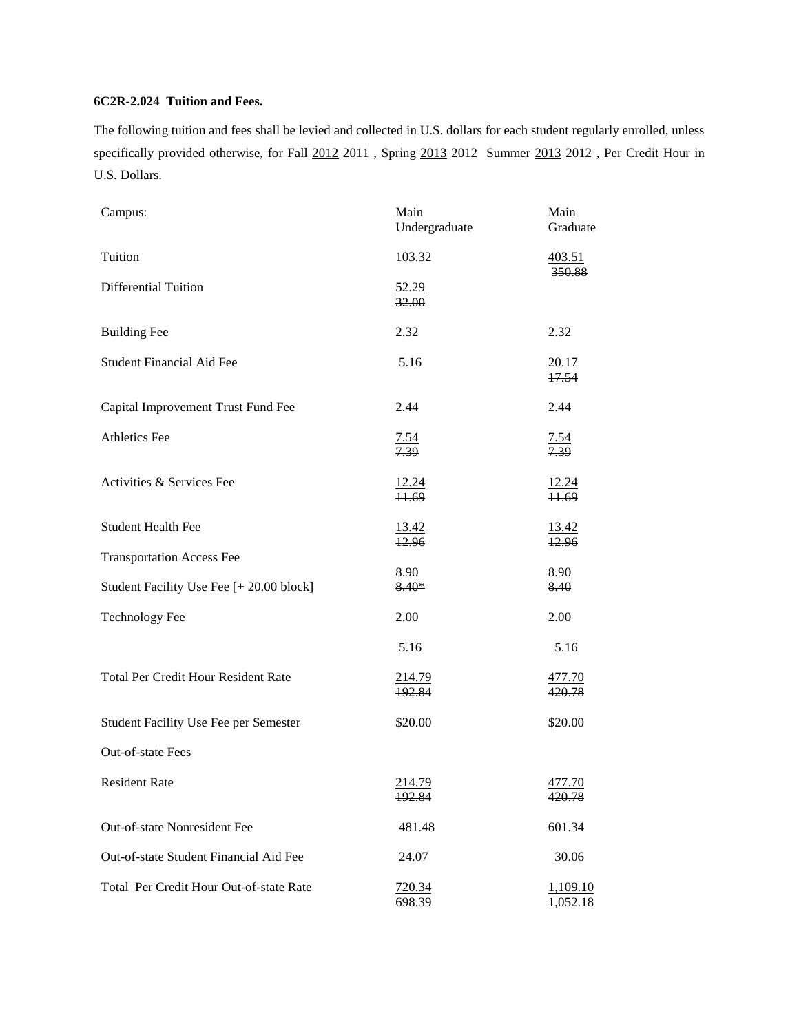## **6C2R-2.024 Tuition and Fees.**

The following tuition and fees shall be levied and collected in U.S. dollars for each student regularly enrolled, unless specifically provided otherwise, for Fall 2012 2011, Spring 2013 2012 Summer 2013 2012, Per Credit Hour in U.S. Dollars.

| Campus:                                    | Main<br>Undergraduate | Main<br>Graduate            |
|--------------------------------------------|-----------------------|-----------------------------|
| Tuition                                    | 103.32                | 403.51<br>350.88            |
| <b>Differential Tuition</b>                | 52.29<br>32.00        |                             |
| <b>Building Fee</b>                        | 2.32                  | 2.32                        |
| <b>Student Financial Aid Fee</b>           | 5.16                  | 20.17<br>17.54              |
| Capital Improvement Trust Fund Fee         | 2.44                  | 2.44                        |
| <b>Athletics Fee</b>                       | 7.54<br>7.39          | <u>7.54</u><br>7.39         |
| Activities & Services Fee                  | 12.24<br>11.69        | 12.24<br>11.69              |
| <b>Student Health Fee</b>                  | 13.42<br>12.96        | 13.42<br>12.96              |
| <b>Transportation Access Fee</b>           |                       |                             |
| Student Facility Use Fee [+ 20.00 block]   | 8.90<br>8.40*         | 8.90<br>8.40                |
| <b>Technology Fee</b>                      | 2.00                  | 2.00                        |
|                                            | 5.16                  | 5.16                        |
| <b>Total Per Credit Hour Resident Rate</b> | 214.79<br>192.84      | 477.70<br>420.78            |
| Student Facility Use Fee per Semester      | \$20.00               | \$20.00                     |
| Out-of-state Fees                          |                       |                             |
| <b>Resident Rate</b>                       | 214.79<br>192.84      | 477.70<br>420.78            |
| Out-of-state Nonresident Fee               | 481.48                | 601.34                      |
| Out-of-state Student Financial Aid Fee     | 24.07                 | 30.06                       |
| Total Per Credit Hour Out-of-state Rate    | 720.34<br>698.39      | <u>1,109.10</u><br>1,052.18 |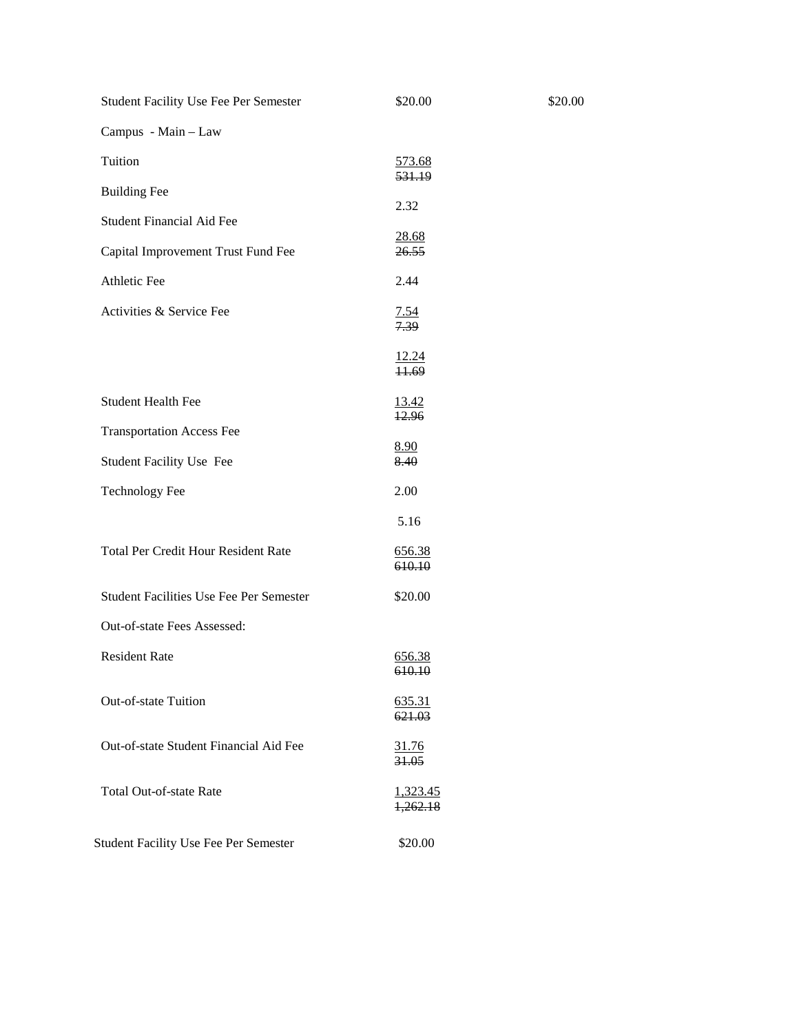| Student Facility Use Fee Per Semester          | \$20.00                 |
|------------------------------------------------|-------------------------|
| Campus - Main - Law                            |                         |
| Tuition                                        | <u>573.68</u><br>531.19 |
| <b>Building Fee</b>                            | 2.32                    |
| <b>Student Financial Aid Fee</b>               | 28.68                   |
| Capital Improvement Trust Fund Fee             | 26.55                   |
| Athletic Fee                                   | 2.44                    |
| Activities & Service Fee                       | $\frac{7.54}{7.39}$     |
|                                                | $\frac{12.24}{11.69}$   |
| <b>Student Health Fee</b>                      | <u>13.42</u><br>12.96   |
| <b>Transportation Access Fee</b>               | <u>8.90</u>             |
| Student Facility Use Fee                       | 8.40                    |
| <b>Technology Fee</b>                          | 2.00                    |
|                                                | 5.16                    |
| <b>Total Per Credit Hour Resident Rate</b>     | 656.38<br>610.10        |
| <b>Student Facilities Use Fee Per Semester</b> | \$20.00                 |
| Out-of-state Fees Assessed:                    |                         |
| <b>Resident Rate</b>                           | <u>656.38</u><br>610.10 |
| Out-of-state Tuition                           | 635.31<br>621.03        |
| Out-of-state Student Financial Aid Fee         | 31.76<br>31.05          |
| <b>Total Out-of-state Rate</b>                 | 1,323.45<br>1,262.18    |
| <b>Student Facility Use Fee Per Semester</b>   | \$20.00                 |

\$20.00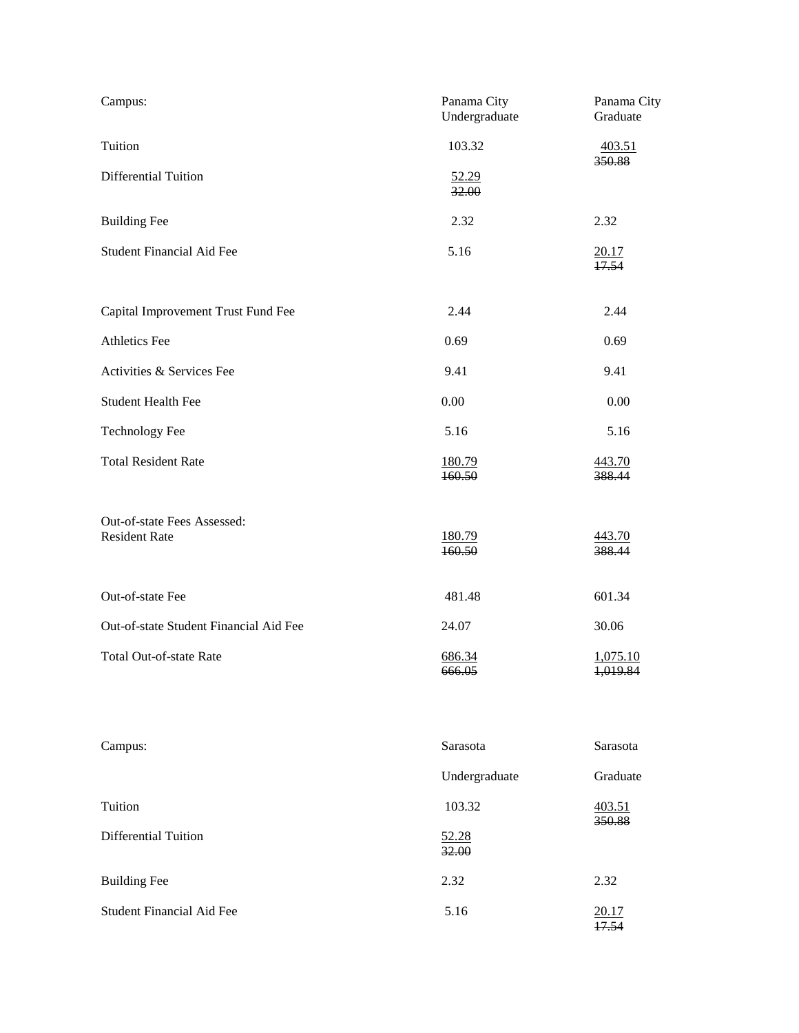| Campus:                                             | Panama City<br>Undergraduate | Panama City<br>Graduate |
|-----------------------------------------------------|------------------------------|-------------------------|
| Tuition                                             | 103.32                       | 403.51                  |
| Differential Tuition                                | 52.29<br>32.00               | 350.88                  |
| <b>Building Fee</b>                                 | 2.32                         | 2.32                    |
| <b>Student Financial Aid Fee</b>                    | 5.16                         | 20.17<br>17.54          |
| Capital Improvement Trust Fund Fee                  | 2.44                         | 2.44                    |
| Athletics Fee                                       | 0.69                         | 0.69                    |
| Activities & Services Fee                           | 9.41                         | 9.41                    |
| <b>Student Health Fee</b>                           | 0.00                         | 0.00                    |
| <b>Technology Fee</b>                               | 5.16                         | 5.16                    |
| <b>Total Resident Rate</b>                          | <u>180.79</u><br>160.50      | 443.70<br>388.44        |
| Out-of-state Fees Assessed:<br><b>Resident Rate</b> | 180.79<br>160.50             | 443.70<br>388.44        |
| Out-of-state Fee                                    | 481.48                       | 601.34                  |
| Out-of-state Student Financial Aid Fee              | 24.07                        | 30.06                   |
| <b>Total Out-of-state Rate</b>                      | 686.34<br>666.05             | 1,075.10<br>1,019.84    |
| Campus:                                             | Sarasota                     | Sarasota                |
|                                                     | Undergraduate                | Graduate                |
| Tuition                                             | 103.32                       | 403.51                  |
| <b>Differential Tuition</b>                         | 52.28<br>32.00               | 350.88                  |
| <b>Building Fee</b>                                 | 2.32                         | 2.32                    |

 $\frac{20.17}{17.54}$ 

Student Financial Aid Fee 5.16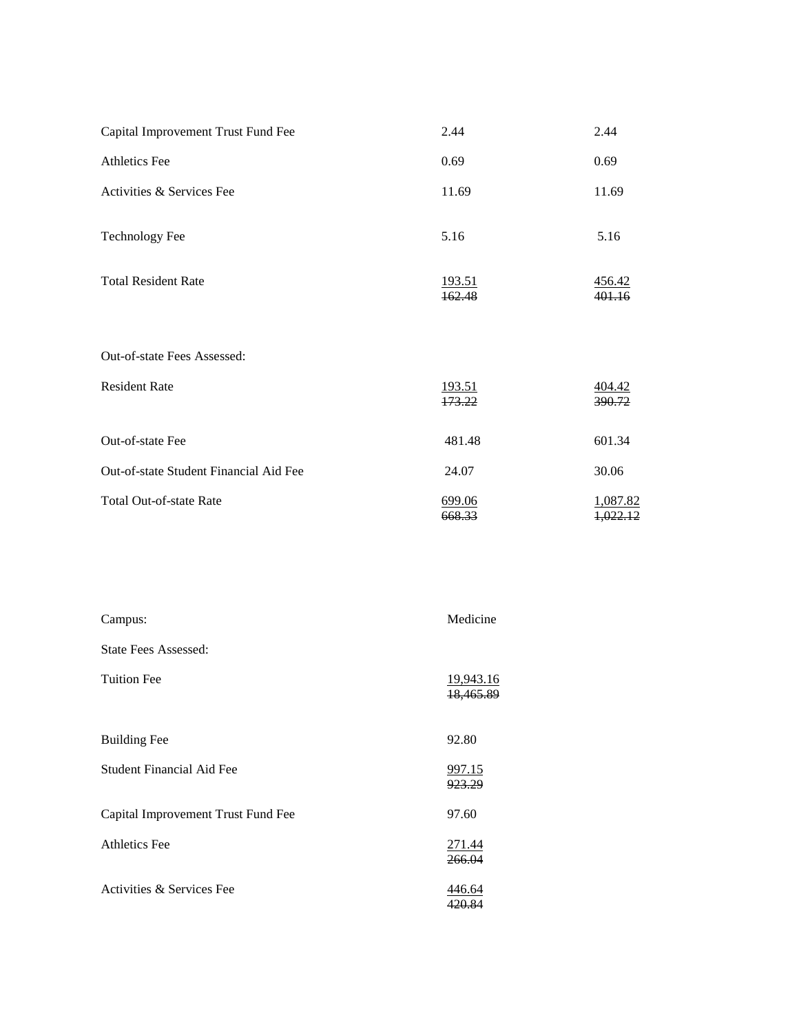| Capital Improvement Trust Fund Fee     | 2.44             | 2.44                            |
|----------------------------------------|------------------|---------------------------------|
| Athletics Fee                          | 0.69             | 0.69                            |
| Activities & Services Fee              | 11.69            | 11.69                           |
| <b>Technology Fee</b>                  | 5.16             | 5.16                            |
| <b>Total Resident Rate</b>             | 193.51<br>162.48 | 456.42<br>401.16                |
| Out-of-state Fees Assessed:            |                  |                                 |
| <b>Resident Rate</b>                   | 193.51<br>173.22 | 404.42<br>390.72                |
| Out-of-state Fee                       | 481.48           | 601.34                          |
| Out-of-state Student Financial Aid Fee | 24.07            | 30.06                           |
| <b>Total Out-of-state Rate</b>         | 699.06<br>668.33 | 1,087.82<br><del>1.022.12</del> |

| Campus:                            | Medicine                          |
|------------------------------------|-----------------------------------|
| State Fees Assessed:               |                                   |
| <b>Tuition Fee</b>                 | 19,943.16<br><del>18,465.89</del> |
| <b>Building Fee</b>                | 92.80                             |
| Student Financial Aid Fee          | <u>997.15</u><br>923.29           |
| Capital Improvement Trust Fund Fee | 97.60                             |
| <b>Athletics Fee</b>               | 271.44<br><del>266.04</del>       |
| Activities & Services Fee          | 446.64<br>420.84                  |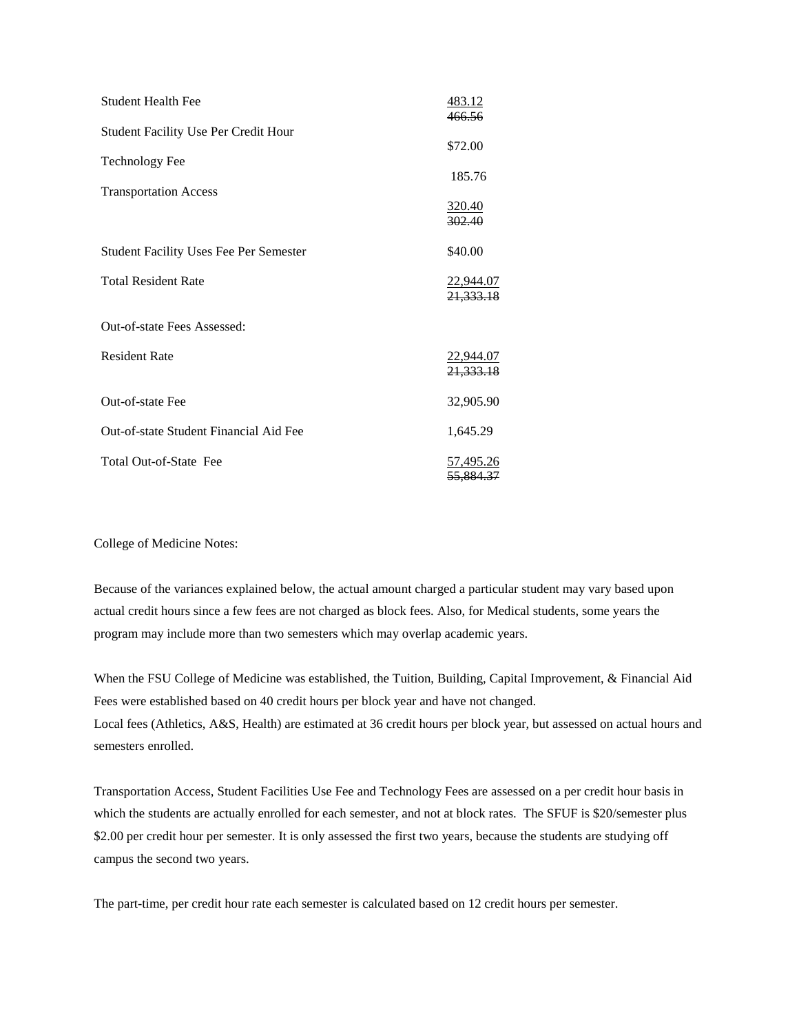| <b>Student Health Fee</b>                     | <u>483.12</u>                 |
|-----------------------------------------------|-------------------------------|
| <b>Student Facility Use Per Credit Hour</b>   | 466.56<br>\$72.00             |
| <b>Technology Fee</b>                         | 185.76                        |
| <b>Transportation Access</b>                  | 320.40<br>302.40              |
| <b>Student Facility Uses Fee Per Semester</b> | \$40.00                       |
| <b>Total Resident Rate</b>                    | 22,944.07<br>21,333.18        |
| Out-of-state Fees Assessed:                   |                               |
| <b>Resident Rate</b>                          | 22,944.07<br>21,333.18        |
| Out-of-state Fee                              | 32,905.90                     |
| Out-of-state Student Financial Aid Fee        | 1,645.29                      |
| Total Out-of-State Fee                        | <u>57,495.26</u><br>55.884.37 |

College of Medicine Notes:

semesters enrolled.

Because of the variances explained below, the actual amount charged a particular student may vary based upon actual credit hours since a few fees are not charged as block fees. Also, for Medical students, some years the program may include more than two semesters which may overlap academic years.

When the FSU College of Medicine was established, the Tuition, Building, Capital Improvement, & Financial Aid Fees were established based on 40 credit hours per block year and have not changed. Local fees (Athletics, A&S, Health) are estimated at 36 credit hours per block year, but assessed on actual hours and

Transportation Access, Student Facilities Use Fee and Technology Fees are assessed on a per credit hour basis in which the students are actually enrolled for each semester, and not at block rates. The SFUF is \$20/semester plus \$2.00 per credit hour per semester. It is only assessed the first two years, because the students are studying off campus the second two years.

The part-time, per credit hour rate each semester is calculated based on 12 credit hours per semester.